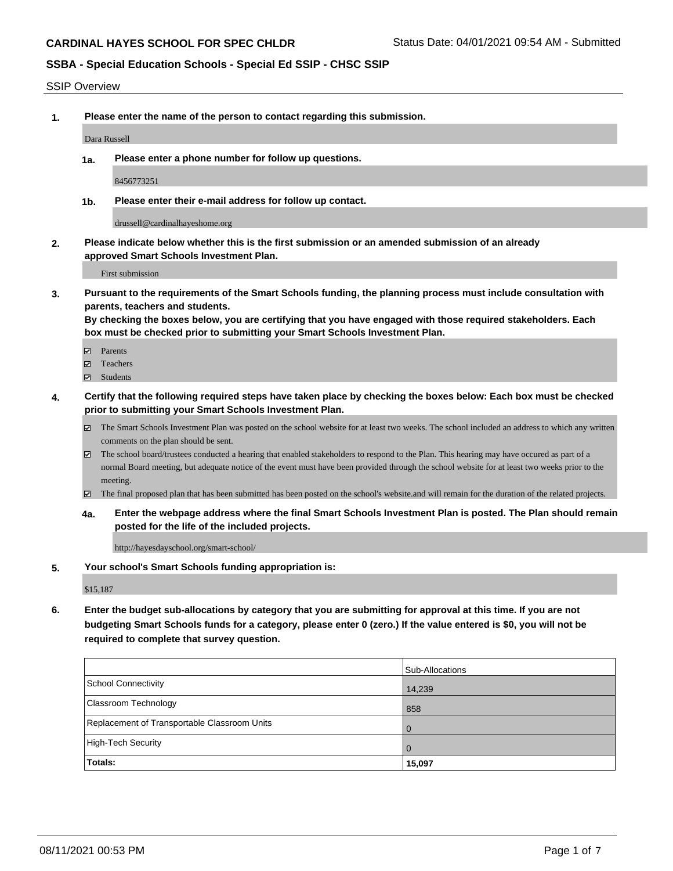#### SSIP Overview

**1. Please enter the name of the person to contact regarding this submission.**

#### Dara Russell

**1a. Please enter a phone number for follow up questions.**

8456773251

**1b. Please enter their e-mail address for follow up contact.**

drussell@cardinalhayeshome.org

**2. Please indicate below whether this is the first submission or an amended submission of an already approved Smart Schools Investment Plan.**

First submission

**3. Pursuant to the requirements of the Smart Schools funding, the planning process must include consultation with parents, teachers and students.**

**By checking the boxes below, you are certifying that you have engaged with those required stakeholders. Each box must be checked prior to submitting your Smart Schools Investment Plan.**

- Parents
- Teachers
- Students
- **4. Certify that the following required steps have taken place by checking the boxes below: Each box must be checked prior to submitting your Smart Schools Investment Plan.**
	- The Smart Schools Investment Plan was posted on the school website for at least two weeks. The school included an address to which any written comments on the plan should be sent.
	- The school board/trustees conducted a hearing that enabled stakeholders to respond to the Plan. This hearing may have occured as part of a normal Board meeting, but adequate notice of the event must have been provided through the school website for at least two weeks prior to the meeting.
	- The final proposed plan that has been submitted has been posted on the school's website.and will remain for the duration of the related projects.
	- **4a. Enter the webpage address where the final Smart Schools Investment Plan is posted. The Plan should remain posted for the life of the included projects.**

http://hayesdayschool.org/smart-school/

**5. Your school's Smart Schools funding appropriation is:**

\$15,187

**6. Enter the budget sub-allocations by category that you are submitting for approval at this time. If you are not budgeting Smart Schools funds for a category, please enter 0 (zero.) If the value entered is \$0, you will not be required to complete that survey question.**

|                                              | Sub-Allocations |
|----------------------------------------------|-----------------|
| School Connectivity                          | 14,239          |
| Classroom Technology                         | 858             |
| Replacement of Transportable Classroom Units | l 0             |
| High-Tech Security                           | I O             |
| Totals:                                      | 15,097          |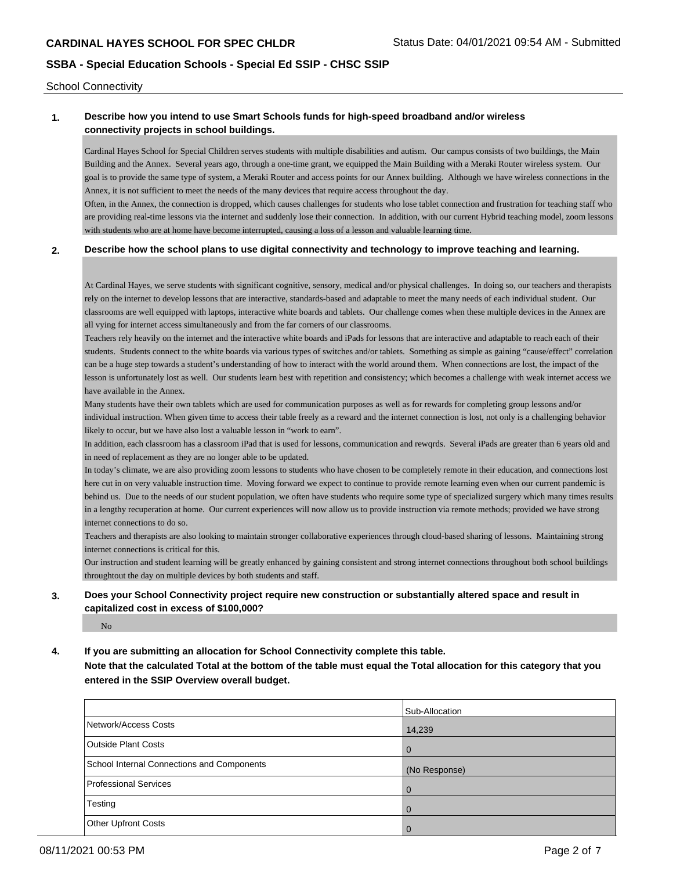School Connectivity

## **1. Describe how you intend to use Smart Schools funds for high-speed broadband and/or wireless connectivity projects in school buildings.**

Cardinal Hayes School for Special Children serves students with multiple disabilities and autism. Our campus consists of two buildings, the Main Building and the Annex. Several years ago, through a one-time grant, we equipped the Main Building with a Meraki Router wireless system. Our goal is to provide the same type of system, a Meraki Router and access points for our Annex building. Although we have wireless connections in the Annex, it is not sufficient to meet the needs of the many devices that require access throughout the day.

Often, in the Annex, the connection is dropped, which causes challenges for students who lose tablet connection and frustration for teaching staff who are providing real-time lessons via the internet and suddenly lose their connection. In addition, with our current Hybrid teaching model, zoom lessons with students who are at home have become interrupted, causing a loss of a lesson and valuable learning time.

#### **2. Describe how the school plans to use digital connectivity and technology to improve teaching and learning.**

At Cardinal Hayes, we serve students with significant cognitive, sensory, medical and/or physical challenges. In doing so, our teachers and therapists rely on the internet to develop lessons that are interactive, standards-based and adaptable to meet the many needs of each individual student. Our classrooms are well equipped with laptops, interactive white boards and tablets. Our challenge comes when these multiple devices in the Annex are all vying for internet access simultaneously and from the far corners of our classrooms.

Teachers rely heavily on the internet and the interactive white boards and iPads for lessons that are interactive and adaptable to reach each of their students. Students connect to the white boards via various types of switches and/or tablets. Something as simple as gaining "cause/effect" correlation can be a huge step towards a student's understanding of how to interact with the world around them. When connections are lost, the impact of the lesson is unfortunately lost as well. Our students learn best with repetition and consistency; which becomes a challenge with weak internet access we have available in the Annex.

Many students have their own tablets which are used for communication purposes as well as for rewards for completing group lessons and/or individual instruction. When given time to access their table freely as a reward and the internet connection is lost, not only is a challenging behavior likely to occur, but we have also lost a valuable lesson in "work to earn".

In addition, each classroom has a classroom iPad that is used for lessons, communication and rewqrds. Several iPads are greater than 6 years old and in need of replacement as they are no longer able to be updated.

In today's climate, we are also providing zoom lessons to students who have chosen to be completely remote in their education, and connections lost here cut in on very valuable instruction time. Moving forward we expect to continue to provide remote learning even when our current pandemic is behind us. Due to the needs of our student population, we often have students who require some type of specialized surgery which many times results in a lengthy recuperation at home. Our current experiences will now allow us to provide instruction via remote methods; provided we have strong internet connections to do so.

Teachers and therapists are also looking to maintain stronger collaborative experiences through cloud-based sharing of lessons. Maintaining strong internet connections is critical for this.

Our instruction and student learning will be greatly enhanced by gaining consistent and strong internet connections throughout both school buildings throughtout the day on multiple devices by both students and staff.

#### **3. Does your School Connectivity project require new construction or substantially altered space and result in capitalized cost in excess of \$100,000?**

No

**4. If you are submitting an allocation for School Connectivity complete this table.**

**Note that the calculated Total at the bottom of the table must equal the Total allocation for this category that you entered in the SSIP Overview overall budget.** 

|                                                   | Sub-Allocation |
|---------------------------------------------------|----------------|
| Network/Access Costs                              | 14,239         |
| <b>Outside Plant Costs</b>                        | l O            |
| <b>School Internal Connections and Components</b> | (No Response)  |
| Professional Services                             | l O            |
| Testing                                           | $\Omega$       |
| <b>Other Upfront Costs</b>                        | $\Omega$       |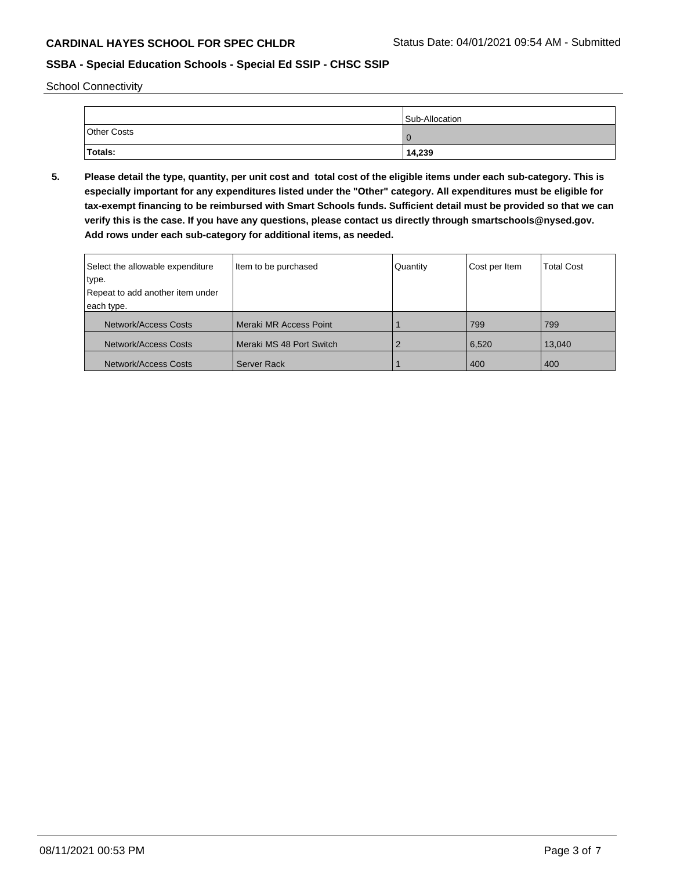School Connectivity

|             | Sub-Allocation |
|-------------|----------------|
| Other Costs |                |
| Totals:     | 14,239         |

**5. Please detail the type, quantity, per unit cost and total cost of the eligible items under each sub-category. This is especially important for any expenditures listed under the "Other" category. All expenditures must be eligible for tax-exempt financing to be reimbursed with Smart Schools funds. Sufficient detail must be provided so that we can verify this is the case. If you have any questions, please contact us directly through smartschools@nysed.gov. Add rows under each sub-category for additional items, as needed.**

| Select the allowable expenditure | Item to be purchased     | Quantity | Cost per Item | <b>Total Cost</b> |
|----------------------------------|--------------------------|----------|---------------|-------------------|
| type.                            |                          |          |               |                   |
| Repeat to add another item under |                          |          |               |                   |
| each type.                       |                          |          |               |                   |
| Network/Access Costs             | Meraki MR Access Point   |          | 799           | 799               |
| Network/Access Costs             | Meraki MS 48 Port Switch |          | 6,520         | 13,040            |
| Network/Access Costs             | <b>Server Rack</b>       |          | 400           | 400               |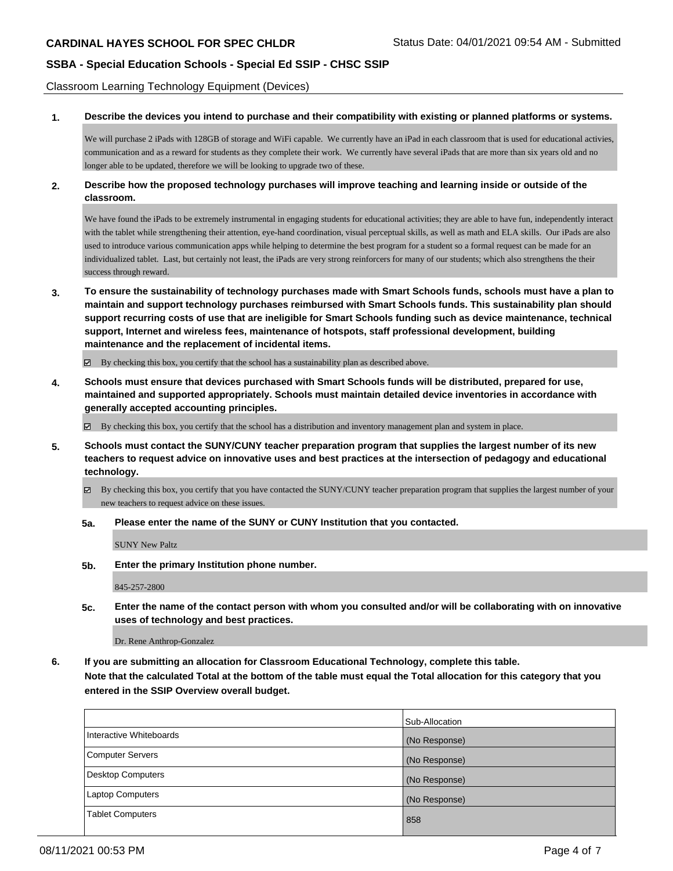Classroom Learning Technology Equipment (Devices)

**1. Describe the devices you intend to purchase and their compatibility with existing or planned platforms or systems.**

We will purchase 2 iPads with 128GB of storage and WiFi capable. We currently have an iPad in each classroom that is used for educational activies, communication and as a reward for students as they complete their work. We currently have several iPads that are more than six years old and no longer able to be updated, therefore we will be looking to upgrade two of these.

#### **2. Describe how the proposed technology purchases will improve teaching and learning inside or outside of the classroom.**

We have found the iPads to be extremely instrumental in engaging students for educational activities; they are able to have fun, independently interact with the tablet while strengthening their attention, eye-hand coordination, visual perceptual skills, as well as math and ELA skills. Our iPads are also used to introduce various communication apps while helping to determine the best program for a student so a formal request can be made for an individualized tablet. Last, but certainly not least, the iPads are very strong reinforcers for many of our students; which also strengthens the their success through reward.

**3. To ensure the sustainability of technology purchases made with Smart Schools funds, schools must have a plan to maintain and support technology purchases reimbursed with Smart Schools funds. This sustainability plan should support recurring costs of use that are ineligible for Smart Schools funding such as device maintenance, technical support, Internet and wireless fees, maintenance of hotspots, staff professional development, building maintenance and the replacement of incidental items.**

By checking this box, you certify that the school has a sustainability plan as described above.

**4. Schools must ensure that devices purchased with Smart Schools funds will be distributed, prepared for use, maintained and supported appropriately. Schools must maintain detailed device inventories in accordance with generally accepted accounting principles.**

By checking this box, you certify that the school has a distribution and inventory management plan and system in place.

- **5. Schools must contact the SUNY/CUNY teacher preparation program that supplies the largest number of its new teachers to request advice on innovative uses and best practices at the intersection of pedagogy and educational technology.**
	- By checking this box, you certify that you have contacted the SUNY/CUNY teacher preparation program that supplies the largest number of your new teachers to request advice on these issues.
	- **5a. Please enter the name of the SUNY or CUNY Institution that you contacted.**

SUNY New Paltz

**5b. Enter the primary Institution phone number.**

845-257-2800

**5c. Enter the name of the contact person with whom you consulted and/or will be collaborating with on innovative uses of technology and best practices.**

Dr. Rene Anthrop-Gonzalez

**6. If you are submitting an allocation for Classroom Educational Technology, complete this table. Note that the calculated Total at the bottom of the table must equal the Total allocation for this category that you entered in the SSIP Overview overall budget.**

|                          | Sub-Allocation |
|--------------------------|----------------|
| Interactive Whiteboards  | (No Response)  |
| Computer Servers         | (No Response)  |
| <b>Desktop Computers</b> | (No Response)  |
| <b>Laptop Computers</b>  | (No Response)  |
| <b>Tablet Computers</b>  | 858            |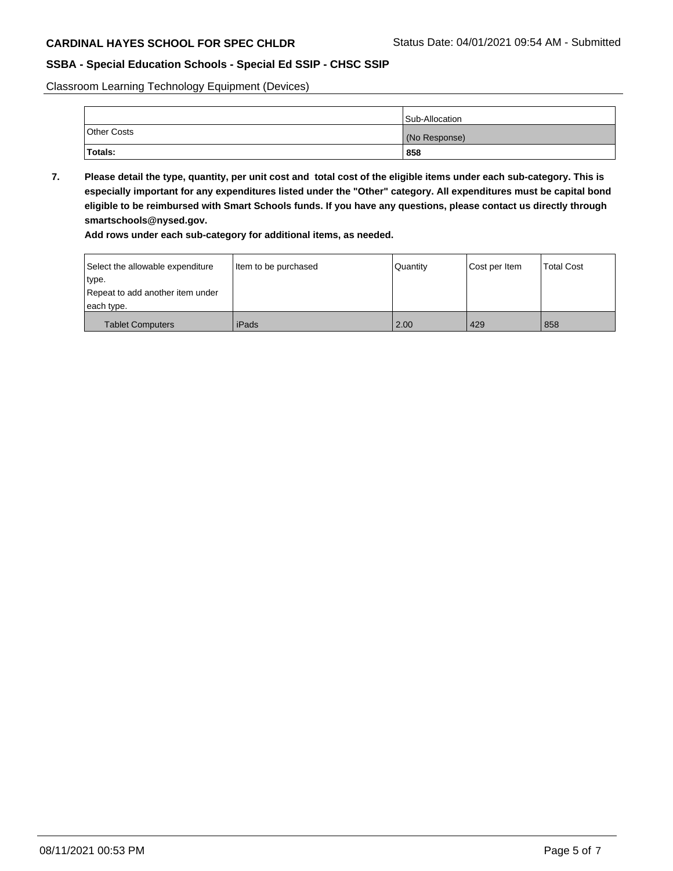Classroom Learning Technology Equipment (Devices)

|                    | Sub-Allocation |
|--------------------|----------------|
| <b>Other Costs</b> | (No Response)  |
| Totals:            | 858            |

**7. Please detail the type, quantity, per unit cost and total cost of the eligible items under each sub-category. This is especially important for any expenditures listed under the "Other" category. All expenditures must be capital bond eligible to be reimbursed with Smart Schools funds. If you have any questions, please contact us directly through smartschools@nysed.gov.**

**Add rows under each sub-category for additional items, as needed.**

| Select the allowable expenditure | Item to be purchased | Quantity | Cost per Item | <b>Total Cost</b> |
|----------------------------------|----------------------|----------|---------------|-------------------|
| type.                            |                      |          |               |                   |
| Repeat to add another item under |                      |          |               |                   |
| each type.                       |                      |          |               |                   |
| <b>Tablet Computers</b>          | iPads                | 2.00     | 429           | 858               |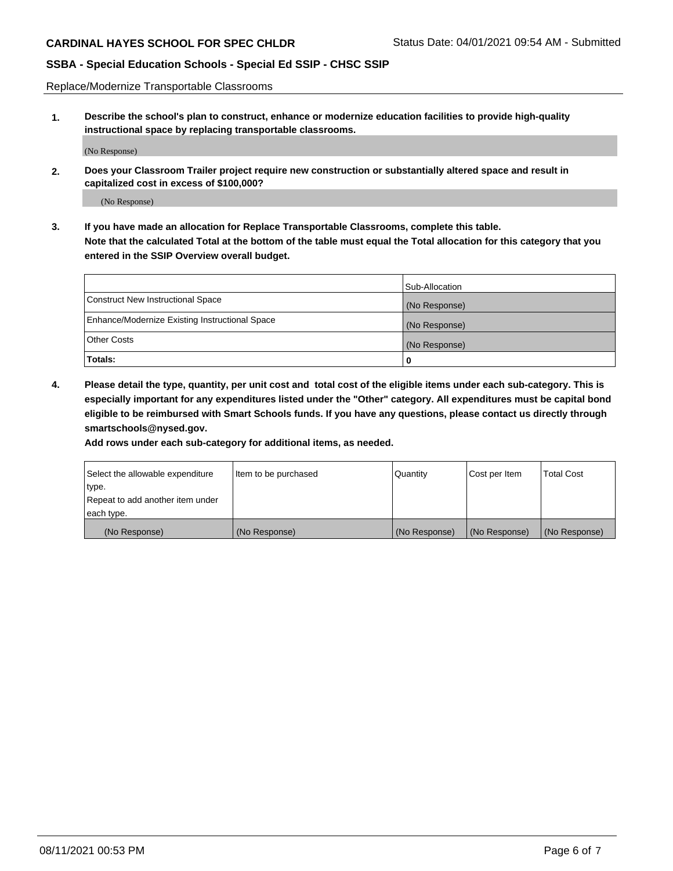Replace/Modernize Transportable Classrooms

**1. Describe the school's plan to construct, enhance or modernize education facilities to provide high-quality instructional space by replacing transportable classrooms.**

(No Response)

**2. Does your Classroom Trailer project require new construction or substantially altered space and result in capitalized cost in excess of \$100,000?**

(No Response)

**3. If you have made an allocation for Replace Transportable Classrooms, complete this table. Note that the calculated Total at the bottom of the table must equal the Total allocation for this category that you entered in the SSIP Overview overall budget.**

|                                                | Sub-Allocation |
|------------------------------------------------|----------------|
| Construct New Instructional Space              | (No Response)  |
| Enhance/Modernize Existing Instructional Space | (No Response)  |
| Other Costs                                    | (No Response)  |
| Totals:                                        | 0              |

**4. Please detail the type, quantity, per unit cost and total cost of the eligible items under each sub-category. This is especially important for any expenditures listed under the "Other" category. All expenditures must be capital bond eligible to be reimbursed with Smart Schools funds. If you have any questions, please contact us directly through smartschools@nysed.gov.**

**Add rows under each sub-category for additional items, as needed.**

| Select the allowable expenditure | Item to be purchased | Quantity      | Cost per Item | <b>Total Cost</b> |
|----------------------------------|----------------------|---------------|---------------|-------------------|
| 'type.                           |                      |               |               |                   |
| Repeat to add another item under |                      |               |               |                   |
| each type.                       |                      |               |               |                   |
| (No Response)                    | (No Response)        | (No Response) | (No Response) | (No Response)     |